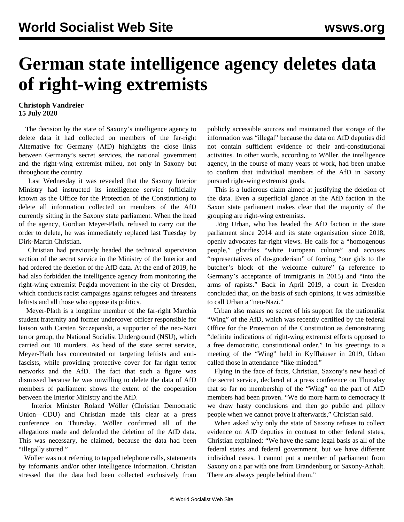## **German state intelligence agency deletes data of right-wing extremists**

## **Christoph Vandreier 15 July 2020**

 The decision by the state of Saxony's intelligence agency to delete data it had collected on members of the far-right Alternative for Germany (AfD) highlights the close links between Germany's secret services, the national government and the right-wing extremist milieu, not only in Saxony but throughout the country.

 Last Wednesday it was revealed that the Saxony Interior Ministry had instructed its intelligence service (officially known as the Office for the Protection of the Constitution) to delete all information collected on members of the AfD currently sitting in the Saxony state parliament. When the head of the agency, Gordian Meyer-Plath, refused to carry out the order to delete, he was immediately replaced last Tuesday by Dirk-Martin Christian.

 Christian had previously headed the technical supervision section of the secret service in the Ministry of the Interior and had ordered the deletion of the AfD data. At the end of 2019, he had also forbidden the intelligence agency from monitoring the right-wing extremist Pegida movement in the city of Dresden, which conducts racist campaigns against refugees and threatens leftists and all those who oppose its politics.

 Meyer-Plath is a longtime member of the far-right Marchia student fraternity and former undercover officer responsible for liaison with Carsten Szczepanski, a supporter of the neo-Nazi terror group, the National Socialist Underground (NSU), which carried out 10 murders. As head of the state secret service, Meyer-Plath has concentrated on targeting leftists and antifascists, while providing protective cover for far-right terror networks and the AfD. The fact that such a figure was dismissed because he was unwilling to delete the data of AfD members of parliament shows the extent of the cooperation between the Interior Ministry and the AfD.

 Interior Minister Roland Wöller (Christian Democratic Union—CDU) and Christian made this clear at a press conference on Thursday. Wöller confirmed all of the allegations made and defended the deletion of the AfD data. This was necessary, he claimed, because the data had been "illegally stored."

 Wöller was not referring to tapped telephone calls, statements by informants and/or other intelligence information. Christian stressed that the data had been collected exclusively from publicly accessible sources and maintained that storage of the information was "illegal" because the data on AfD deputies did not contain sufficient evidence of their anti-constitutional activities. In other words, according to Wöller, the intelligence agency, in the course of many years of work, had been unable to confirm that individual members of the AfD in Saxony pursued right-wing extremist goals.

 This is a ludicrous claim aimed at justifying the deletion of the data. Even a superficial glance at the AfD faction in the Saxon state parliament makes clear that the majority of the grouping are right-wing extremists.

 Jörg Urban, who has headed the AfD faction in the state parliament since 2014 and its state organisation since 2018, openly advocates far-right views. He calls for a "homogenous people," glorifies "white European culture" and accuses "representatives of do-gooderism" of forcing "our girls to the butcher's block of the welcome culture" (a reference to Germany's acceptance of immigrants in 2015) and "into the arms of rapists." Back in April 2019, a court in Dresden concluded that, on the basis of such opinions, it was admissible to call Urban a "neo-Nazi."

 Urban also makes no secret of his support for the nationalist "Wing" of the AfD, which was recently certified by the federal Office for the Protection of the Constitution as demonstrating "definite indications of right-wing extremist efforts opposed to a free democratic, constitutional order." In his greetings to a meeting of the "Wing" held in Kyffhäuser in 2019, Urban called those in attendance "like-minded."

 Flying in the face of facts, Christian, Saxony's new head of the secret service, declared at a press conference on Thursday that so far no membership of the "Wing" on the part of AfD members had been proven. "We do more harm to democracy if we draw hasty conclusions and then go public and pillory people when we cannot prove it afterwards," Christian said.

 When asked why only the state of Saxony refuses to collect evidence on AfD deputies in contrast to other federal states, Christian explained: "We have the same legal basis as all of the federal states and federal government, but we have different individual cases. I cannot put a member of parliament from Saxony on a par with one from Brandenburg or Saxony-Anhalt. There are always people behind them."